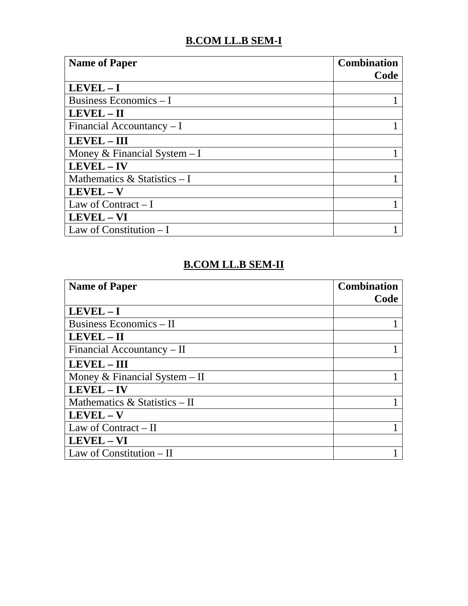## **B.COM LL.B SEM-I**

| <b>Name of Paper</b>           | <b>Combination</b><br>Code |
|--------------------------------|----------------------------|
| $LEVEL - I$                    |                            |
| Business Economics $-I$        |                            |
| $LEVEL - II$                   |                            |
| Financial Accountancy $-I$     |                            |
| $LEVEL - III$                  |                            |
| Money & Financial System $-I$  |                            |
| $LEVEL - IV$                   |                            |
| Mathematics $&$ Statistics – I |                            |
| $LEVEL - V$                    |                            |
| Law of Contract $-I$           |                            |
| LEVEL - VI                     |                            |
| Law of Constitution $-I$       |                            |

#### **B.COM LL.B SEM-II**

| <b>Name of Paper</b>             | <b>Combination</b><br>Code |
|----------------------------------|----------------------------|
| $LEVEL - I$                      |                            |
| Business Economics – II          |                            |
| $LEVEL - II$                     |                            |
| Financial Accountancy – II       |                            |
| <b>LEVEL - III</b>               |                            |
| Money & Financial System $-$ II  |                            |
| LEVEL - IV                       |                            |
| Mathematics $\&$ Statistics – II |                            |
| $LEVEL - V$                      |                            |
| Law of Contract $-II$            |                            |
| LEVEL - VI                       |                            |
| Law of Constitution - II         |                            |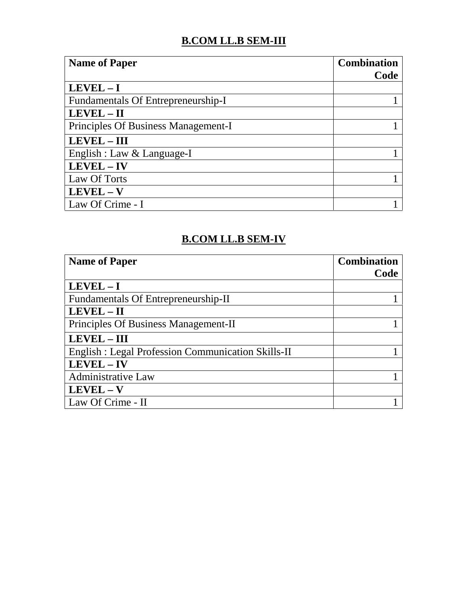## **B.COM LL.B SEM-III**

| <b>Name of Paper</b>                | <b>Combination</b><br>Code |
|-------------------------------------|----------------------------|
| $LEVEL - I$                         |                            |
| Fundamentals Of Entrepreneurship-I  |                            |
| $LEVEL - II$                        |                            |
| Principles Of Business Management-I |                            |
| <b>LEVEL - III</b>                  |                            |
| English : Law & Language-I          |                            |
| LEVEL-IV                            |                            |
| Law Of Torts                        |                            |
| $LEVEL - V$                         |                            |
| Law Of Crime - I                    |                            |

#### **B.COM LL.B SEM-IV**

| <b>Name of Paper</b>                                     | <b>Combination</b><br>Code |
|----------------------------------------------------------|----------------------------|
| $LEVEL - I$                                              |                            |
| Fundamentals Of Entrepreneurship-II                      |                            |
| $LEVEL - II$                                             |                            |
| Principles Of Business Management-II                     |                            |
| <b>LEVEL - III</b>                                       |                            |
| <b>English: Legal Profession Communication Skills-II</b> |                            |
| LEVEL - IV                                               |                            |
| <b>Administrative Law</b>                                |                            |
| $LEVEL - V$                                              |                            |
| Law Of Crime - II                                        |                            |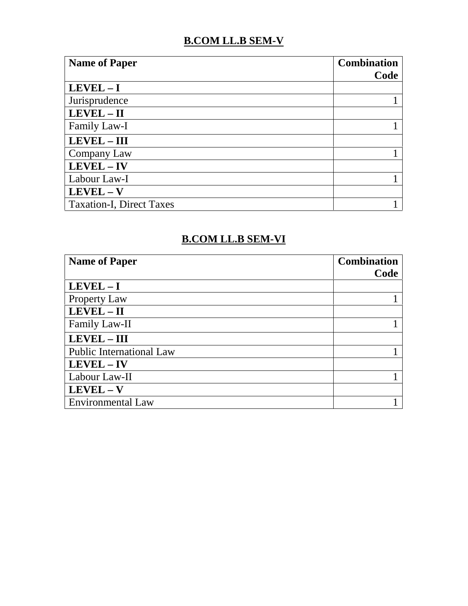### **B.COM LL.B SEM-V**

| <b>Name of Paper</b>            | <b>Combination</b><br>Code |
|---------------------------------|----------------------------|
| $LEVEL - I$                     |                            |
| Jurisprudence                   |                            |
| LEVEL - II                      |                            |
| Family Law-I                    |                            |
| LEVEL - III                     |                            |
| Company Law                     |                            |
| LEVEL - IV                      |                            |
| Labour Law-I                    |                            |
| $LEVEL - V$                     |                            |
| <b>Taxation-I, Direct Taxes</b> |                            |

#### **B.COM LL.B SEM-VI**

| <b>Name of Paper</b>            | <b>Combination</b><br>Code |
|---------------------------------|----------------------------|
| $LEVEL - I$                     |                            |
| <b>Property Law</b>             |                            |
| LEVEL - II                      |                            |
| Family Law-II                   |                            |
| $LEVEL - III$                   |                            |
| <b>Public International Law</b> |                            |
| LEVEL - IV                      |                            |
| Labour Law-II                   |                            |
| $LEVEL - V$                     |                            |
| <b>Environmental Law</b>        |                            |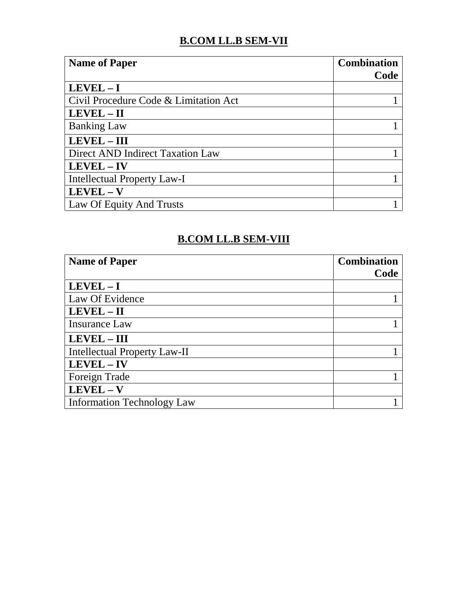# **B.COM LL.B SEM-VII**

| <b>Name of Paper</b>                  | <b>Combination</b><br>Code |
|---------------------------------------|----------------------------|
| $LEVEL - I$                           |                            |
| Civil Procedure Code & Limitation Act |                            |
| LEVEL-II                              |                            |
| <b>Banking Law</b>                    |                            |
| $LEVEL - III$                         |                            |
| Direct AND Indirect Taxation Law      |                            |
| $LEVEL - IV$                          |                            |
| <b>Intellectual Property Law-I</b>    |                            |
| $LEVEL - V$                           |                            |
| Law Of Equity And Trusts              |                            |

#### **B.COM LL.B SEM-VIII**

| <b>Name of Paper</b>                | <b>Combination</b><br>Code |
|-------------------------------------|----------------------------|
| $LEVEL - I$                         |                            |
| Law Of Evidence                     |                            |
| LEVEL - II                          |                            |
| Insurance Law                       |                            |
| <b>LEVEL - III</b>                  |                            |
| <b>Intellectual Property Law-II</b> |                            |
| LEVEL - IV                          |                            |
| Foreign Trade                       |                            |
| $LEVEL - V$                         |                            |
| <b>Information Technology Law</b>   |                            |